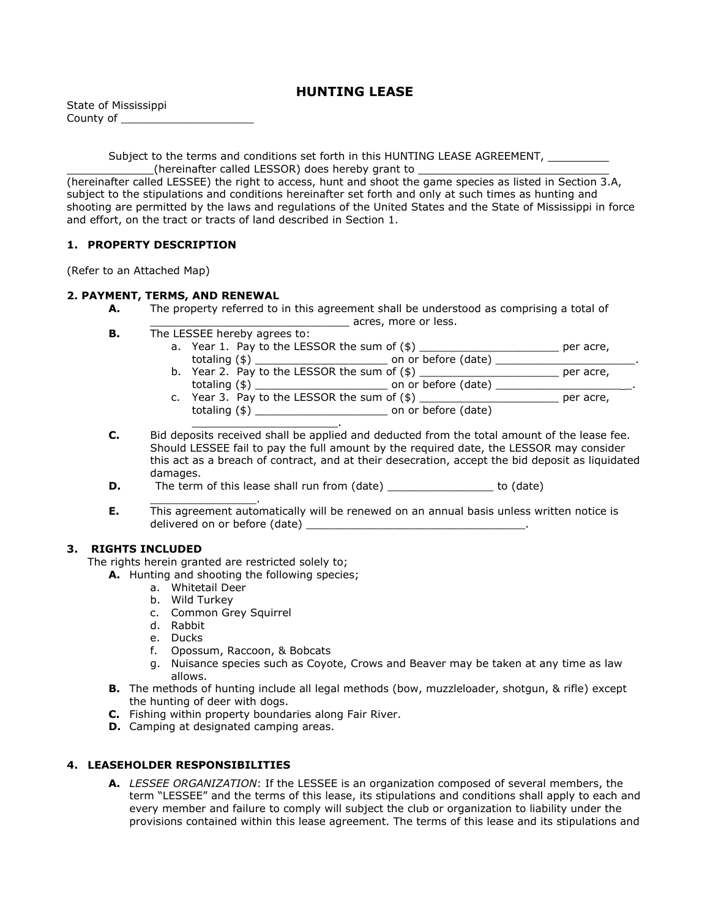# **HUNTING LEASE**

| State of Mississippi |  |
|----------------------|--|
| County of            |  |

Subject to the terms and conditions set forth in this HUNTING LEASE AGREEMENT, (hereinafter called LESSOR) does hereby grant to

(hereinafter called LESSEE) the right to access, hunt and shoot the game species as listed in Section 3.A, subject to the stipulations and conditions hereinafter set forth and only at such times as hunting and shooting are permitted by the laws and regulations of the United States and the State of Mississippi in force and effort, on the tract or tracts of land described in Section 1.

### **1. PROPERTY DESCRIPTION**

(Refer to an Attached Map)

## **2. PAYMENT, TERMS, AND RENEWAL**

- **A.** The property referred to in this agreement shall be understood as comprising a total of
	- \_\_\_\_\_\_\_\_\_\_\_\_\_\_\_\_\_\_\_\_\_\_\_\_\_\_\_\_\_\_ acres, more or less.
- **B.** The LESSEE hereby agrees to: a. Year 1. Pay to the LESSOR the sum of (\$) \_\_\_\_\_\_\_\_\_\_\_\_\_\_\_\_\_\_\_\_\_ per acre,
	- totaling (\$) \_\_\_\_\_\_\_\_\_\_\_\_\_\_\_\_\_\_\_\_ on or before (date) \_\_\_\_\_\_\_\_\_\_\_\_\_\_\_\_\_\_\_\_\_. b. Year 2. Pay to the LESSOR the sum of  $(\$)$  \_\_\_\_\_\_\_\_\_\_\_\_\_\_\_\_\_\_\_\_\_\_\_\_\_\_\_\_\_\_\_\_\_\_\_ per acre, totaling (\$) \_\_\_\_\_\_\_\_\_\_\_\_\_\_\_\_\_\_\_\_ on or before (date) \_\_\_\_\_\_\_\_\_\_\_\_\_\_\_\_\_\_\_ \_.
	- c. Year 3. Pay to the LESSOR the sum of  $(\$)$  per acre, totaling (\$) \_\_\_\_\_\_\_\_\_\_\_\_\_\_\_\_\_\_\_\_ on or before (date)

\_\_\_\_\_\_\_\_\_\_\_\_\_\_\_\_\_\_\_\_\_\_. **C.** Bid deposits received shall be applied and deducted from the total amount of the lease fee. Should LESSEE fail to pay the full amount by the required date, the LESSOR may consider this act as a breach of contract, and at their desecration, accept the bid deposit as liquidated damages.

- **D.** The term of this lease shall run from (date) to (date)
- \_\_\_\_\_\_\_\_\_\_\_\_\_\_\_\_. **E.** This agreement automatically will be renewed on an annual basis unless written notice is delivered on or before (date)

# **3. RIGHTS INCLUDED**

The rights herein granted are restricted solely to;

**A.** Hunting and shooting the following species;

- a. Whitetail Deer
- b. Wild Turkey
- c. Common Grey Squirrel
- d. Rabbit
- e. Ducks
- f. Opossum, Raccoon, & Bobcats
- g. Nuisance species such as Coyote, Crows and Beaver may be taken at any time as law allows.
- **B.** The methods of hunting include all legal methods (bow, muzzleloader, shotgun, & rifle) except the hunting of deer with dogs.
- **C.** Fishing within property boundaries along Fair River.
- **D.** Camping at designated camping areas.

### **4. LEASEHOLDER RESPONSIBILITIES**

**A.** *LESSEE ORGANIZATION*: If the LESSEE is an organization composed of several members, the term "LESSEE" and the terms of this lease, its stipulations and conditions shall apply to each and every member and failure to comply will subject the club or organization to liability under the provisions contained within this lease agreement. The terms of this lease and its stipulations and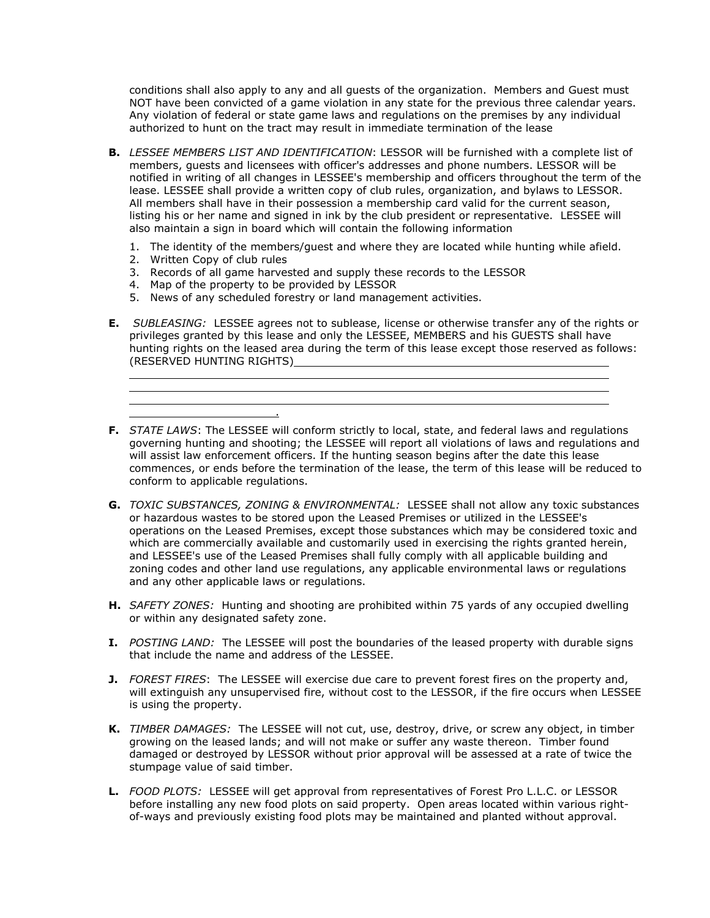conditions shall also apply to any and all guests of the organization. Members and Guest must NOT have been convicted of a game violation in any state for the previous three calendar years. Any violation of federal or state game laws and regulations on the premises by any individual authorized to hunt on the tract may result in immediate termination of the lease

- **B.** *LESSEE MEMBERS LIST AND IDENTIFICATION*: LESSOR will be furnished with a complete list of members, guests and licensees with officer's addresses and phone numbers. LESSOR will be notified in writing of all changes in LESSEE's membership and officers throughout the term of the lease. LESSEE shall provide a written copy of club rules, organization, and bylaws to LESSOR. All members shall have in their possession a membership card valid for the current season, listing his or her name and signed in ink by the club president or representative. LESSEE will also maintain a sign in board which will contain the following information
	- 1. The identity of the members/guest and where they are located while hunting while afield.
	- 2. Written Copy of club rules

.

 $\overline{a}$ 

- 3. Records of all game harvested and supply these records to the LESSOR
- 4. Map of the property to be provided by LESSOR
- 5. News of any scheduled forestry or land management activities.
- **E.** *SUBLEASING:* LESSEE agrees not to sublease, license or otherwise transfer any of the rights or privileges granted by this lease and only the LESSEE, MEMBERS and his GUESTS shall have hunting rights on the leased area during the term of this lease except those reserved as follows: (RESERVED HUNTING RIGHTS)

the control of the control of the control of the control of the control of the control of the control of the control of the control of the control of the control of the control of the control of the control of the control

**F.** *STATE LAWS*: The LESSEE will conform strictly to local, state, and federal laws and regulations governing hunting and shooting; the LESSEE will report all violations of laws and regulations and will assist law enforcement officers. If the hunting season begins after the date this lease commences, or ends before the termination of the lease, the term of this lease will be reduced to conform to applicable regulations.

- **G.** *TOXIC SUBSTANCES, ZONING & ENVIRONMENTAL:* LESSEE shall not allow any toxic substances or hazardous wastes to be stored upon the Leased Premises or utilized in the LESSEE's operations on the Leased Premises, except those substances which may be considered toxic and which are commercially available and customarily used in exercising the rights granted herein, and LESSEE's use of the Leased Premises shall fully comply with all applicable building and zoning codes and other land use regulations, any applicable environmental laws or regulations and any other applicable laws or regulations.
- **H.** *SAFETY ZONES:* Hunting and shooting are prohibited within 75 yards of any occupied dwelling or within any designated safety zone.
- **I.** *POSTING LAND:* The LESSEE will post the boundaries of the leased property with durable signs that include the name and address of the LESSEE.
- **J.** *FOREST FIRES*: The LESSEE will exercise due care to prevent forest fires on the property and, will extinguish any unsupervised fire, without cost to the LESSOR, if the fire occurs when LESSEE is using the property.
- **K.** *TIMBER DAMAGES:* The LESSEE will not cut, use, destroy, drive, or screw any object, in timber growing on the leased lands; and will not make or suffer any waste thereon. Timber found damaged or destroyed by LESSOR without prior approval will be assessed at a rate of twice the stumpage value of said timber.
- **L.** *FOOD PLOTS:* LESSEE will get approval from representatives of Forest Pro L.L.C. or LESSOR before installing any new food plots on said property. Open areas located within various rightof-ways and previously existing food plots may be maintained and planted without approval.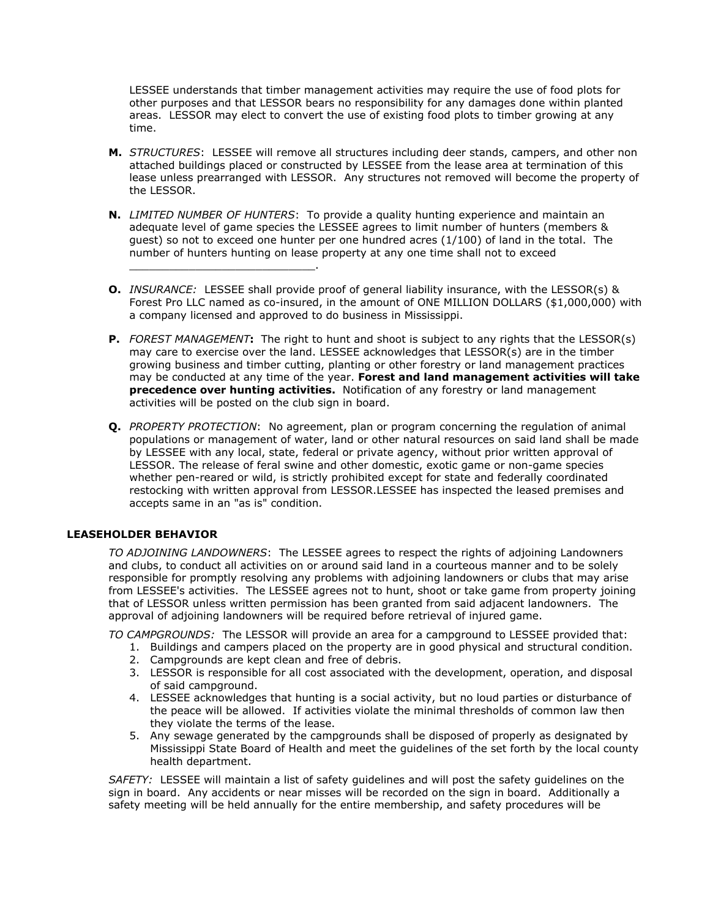LESSEE understands that timber management activities may require the use of food plots for other purposes and that LESSOR bears no responsibility for any damages done within planted areas. LESSOR may elect to convert the use of existing food plots to timber growing at any time.

- **M.** *STRUCTURES*: LESSEE will remove all structures including deer stands, campers, and other non attached buildings placed or constructed by LESSEE from the lease area at termination of this lease unless prearranged with LESSOR. Any structures not removed will become the property of the LESSOR.
- **N.** *LIMITED NUMBER OF HUNTERS*: To provide a quality hunting experience and maintain an adequate level of game species the LESSEE agrees to limit number of hunters (members & guest) so not to exceed one hunter per one hundred acres (1/100) of land in the total. The number of hunters hunting on lease property at any one time shall not to exceed
- **O.** *INSURANCE:* LESSEE shall provide proof of general liability insurance, with the LESSOR(s) & Forest Pro LLC named as co-insured, in the amount of ONE MILLION DOLLARS (\$1,000,000) with a company licensed and approved to do business in Mississippi.
- **P.** *FOREST MANAGEMENT***:** The right to hunt and shoot is subject to any rights that the LESSOR(s) may care to exercise over the land. LESSEE acknowledges that LESSOR(s) are in the timber growing business and timber cutting, planting or other forestry or land management practices may be conducted at any time of the year. **Forest and land management activities will take precedence over hunting activities.** Notification of any forestry or land management activities will be posted on the club sign in board.
- **Q.** *PROPERTY PROTECTION*: No agreement, plan or program concerning the regulation of animal populations or management of water, land or other natural resources on said land shall be made by LESSEE with any local, state, federal or private agency, without prior written approval of LESSOR. The release of feral swine and other domestic, exotic game or non-game species whether pen-reared or wild, is strictly prohibited except for state and federally coordinated restocking with written approval from LESSOR.LESSEE has inspected the leased premises and accepts same in an "as is" condition.

### **LEASEHOLDER BEHAVIOR**

*TO ADJOINING LANDOWNERS*: The LESSEE agrees to respect the rights of adjoining Landowners and clubs, to conduct all activities on or around said land in a courteous manner and to be solely responsible for promptly resolving any problems with adjoining landowners or clubs that may arise from LESSEE's activities. The LESSEE agrees not to hunt, shoot or take game from property joining that of LESSOR unless written permission has been granted from said adjacent landowners. The approval of adjoining landowners will be required before retrieval of injured game.

*TO CAMPGROUNDS:* The LESSOR will provide an area for a campground to LESSEE provided that:

- 1. Buildings and campers placed on the property are in good physical and structural condition.
- 2. Campgrounds are kept clean and free of debris.

\_\_\_\_\_\_\_\_\_\_\_\_\_\_\_\_\_\_\_\_\_\_\_\_\_\_\_\_.

- 3. LESSOR is responsible for all cost associated with the development, operation, and disposal of said campground.
- 4. LESSEE acknowledges that hunting is a social activity, but no loud parties or disturbance of the peace will be allowed. If activities violate the minimal thresholds of common law then they violate the terms of the lease.
- 5. Any sewage generated by the campgrounds shall be disposed of properly as designated by Mississippi State Board of Health and meet the guidelines of the set forth by the local county health department.

*SAFETY:* LESSEE will maintain a list of safety guidelines and will post the safety guidelines on the sign in board. Any accidents or near misses will be recorded on the sign in board. Additionally a safety meeting will be held annually for the entire membership, and safety procedures will be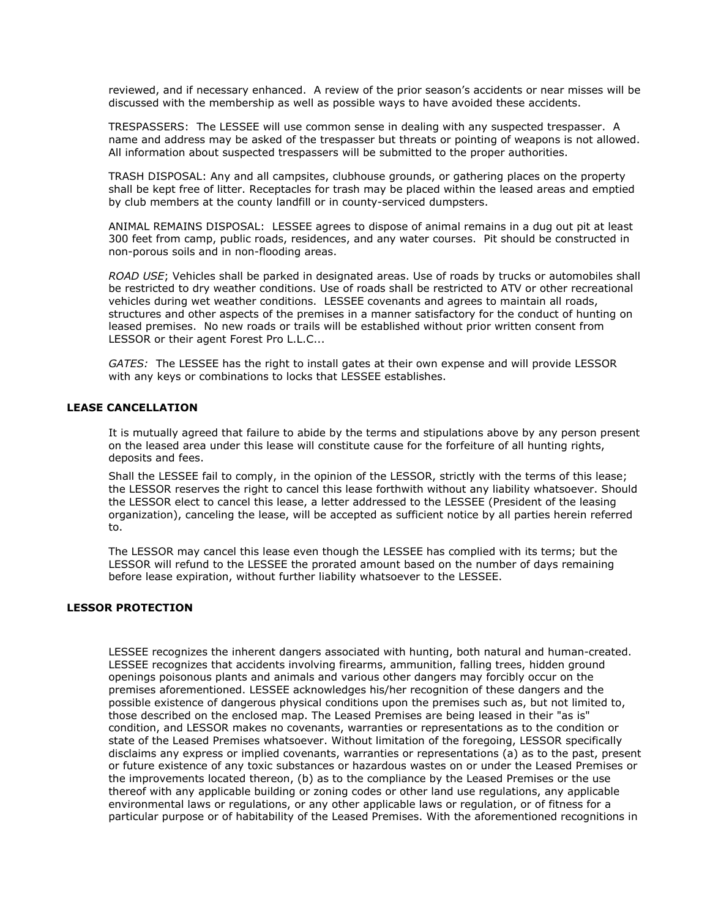reviewed, and if necessary enhanced. A review of the prior season's accidents or near misses will be discussed with the membership as well as possible ways to have avoided these accidents.

TRESPASSERS: The LESSEE will use common sense in dealing with any suspected trespasser. A name and address may be asked of the trespasser but threats or pointing of weapons is not allowed. All information about suspected trespassers will be submitted to the proper authorities.

TRASH DISPOSAL: Any and all campsites, clubhouse grounds, or gathering places on the property shall be kept free of litter. Receptacles for trash may be placed within the leased areas and emptied by club members at the county landfill or in county-serviced dumpsters.

ANIMAL REMAINS DISPOSAL: LESSEE agrees to dispose of animal remains in a dug out pit at least 300 feet from camp, public roads, residences, and any water courses. Pit should be constructed in non-porous soils and in non-flooding areas.

*ROAD USE*; Vehicles shall be parked in designated areas. Use of roads by trucks or automobiles shall be restricted to dry weather conditions. Use of roads shall be restricted to ATV or other recreational vehicles during wet weather conditions. LESSEE covenants and agrees to maintain all roads, structures and other aspects of the premises in a manner satisfactory for the conduct of hunting on leased premises. No new roads or trails will be established without prior written consent from LESSOR or their agent Forest Pro L.L.C...

*GATES:* The LESSEE has the right to install gates at their own expense and will provide LESSOR with any keys or combinations to locks that LESSEE establishes.

#### **LEASE CANCELLATION**

It is mutually agreed that failure to abide by the terms and stipulations above by any person present on the leased area under this lease will constitute cause for the forfeiture of all hunting rights, deposits and fees.

Shall the LESSEE fail to comply, in the opinion of the LESSOR, strictly with the terms of this lease; the LESSOR reserves the right to cancel this lease forthwith without any liability whatsoever. Should the LESSOR elect to cancel this lease, a letter addressed to the LESSEE (President of the leasing organization), canceling the lease, will be accepted as sufficient notice by all parties herein referred to.

The LESSOR may cancel this lease even though the LESSEE has complied with its terms; but the LESSOR will refund to the LESSEE the prorated amount based on the number of days remaining before lease expiration, without further liability whatsoever to the LESSEE.

### **LESSOR PROTECTION**

LESSEE recognizes the inherent dangers associated with hunting, both natural and human-created. LESSEE recognizes that accidents involving firearms, ammunition, falling trees, hidden ground openings poisonous plants and animals and various other dangers may forcibly occur on the premises aforementioned. LESSEE acknowledges his/her recognition of these dangers and the possible existence of dangerous physical conditions upon the premises such as, but not limited to, those described on the enclosed map. The Leased Premises are being leased in their "as is" condition, and LESSOR makes no covenants, warranties or representations as to the condition or state of the Leased Premises whatsoever. Without limitation of the foregoing, LESSOR specifically disclaims any express or implied covenants, warranties or representations (a) as to the past, present or future existence of any toxic substances or hazardous wastes on or under the Leased Premises or the improvements located thereon, (b) as to the compliance by the Leased Premises or the use thereof with any applicable building or zoning codes or other land use regulations, any applicable environmental laws or regulations, or any other applicable laws or regulation, or of fitness for a particular purpose or of habitability of the Leased Premises. With the aforementioned recognitions in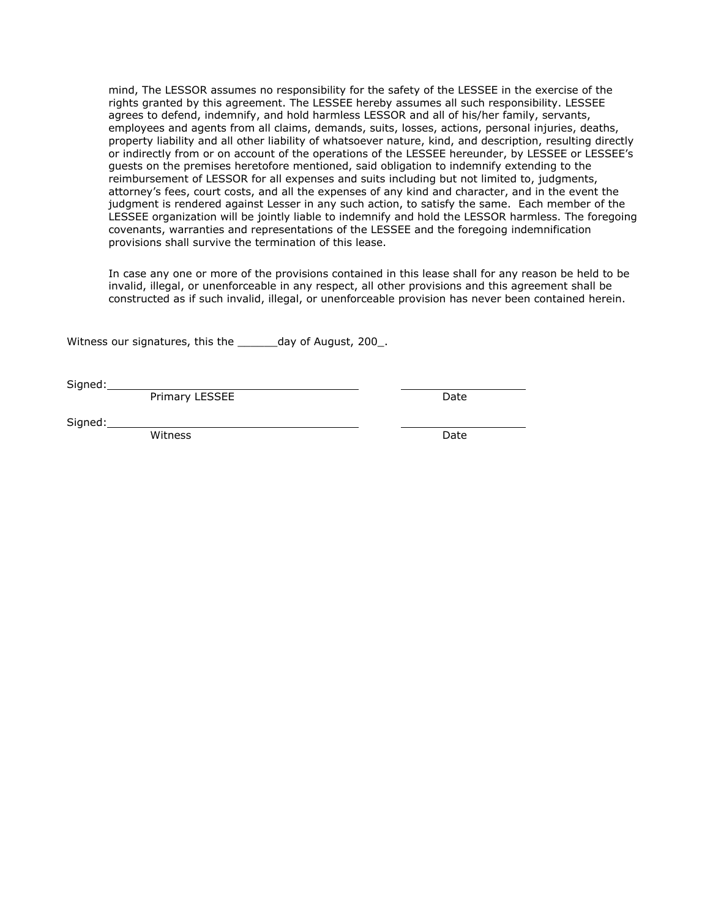mind, The LESSOR assumes no responsibility for the safety of the LESSEE in the exercise of the rights granted by this agreement. The LESSEE hereby assumes all such responsibility. LESSEE agrees to defend, indemnify, and hold harmless LESSOR and all of his/her family, servants, employees and agents from all claims, demands, suits, losses, actions, personal injuries, deaths, property liability and all other liability of whatsoever nature, kind, and description, resulting directly or indirectly from or on account of the operations of the LESSEE hereunder, by LESSEE or LESSEE's guests on the premises heretofore mentioned, said obligation to indemnify extending to the reimbursement of LESSOR for all expenses and suits including but not limited to, judgments, attorney's fees, court costs, and all the expenses of any kind and character, and in the event the judgment is rendered against Lesser in any such action, to satisfy the same. Each member of the LESSEE organization will be jointly liable to indemnify and hold the LESSOR harmless. The foregoing covenants, warranties and representations of the LESSEE and the foregoing indemnification provisions shall survive the termination of this lease.

In case any one or more of the provisions contained in this lease shall for any reason be held to be invalid, illegal, or unenforceable in any respect, all other provisions and this agreement shall be constructed as if such invalid, illegal, or unenforceable provision has never been contained herein.

Witness our signatures, this the \_\_\_\_\_\_day of August, 200\_.

Signed:

Primary LESSEE Date

Signed:

Witness Date **Date**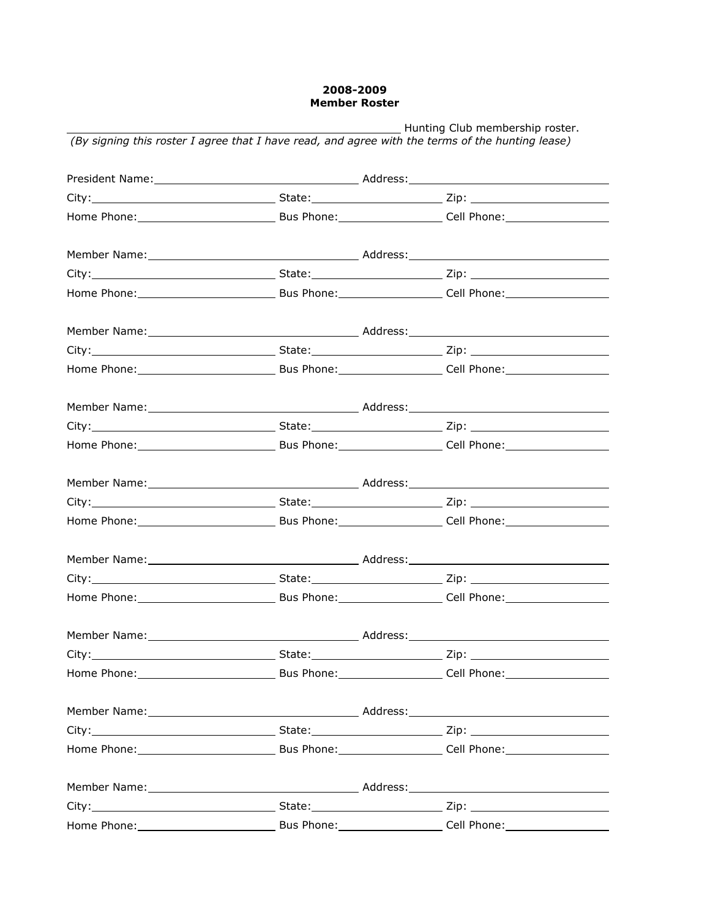## **2008-2009 Member Roster**

| Hunting Club membership roster.<br>(By signing this roster I agree that I have read, and agree with the terms of the hunting lease) |  |  |  |  |
|-------------------------------------------------------------------------------------------------------------------------------------|--|--|--|--|
|                                                                                                                                     |  |  |  |  |
|                                                                                                                                     |  |  |  |  |
|                                                                                                                                     |  |  |  |  |
|                                                                                                                                     |  |  |  |  |
|                                                                                                                                     |  |  |  |  |
|                                                                                                                                     |  |  |  |  |
|                                                                                                                                     |  |  |  |  |
|                                                                                                                                     |  |  |  |  |
|                                                                                                                                     |  |  |  |  |
|                                                                                                                                     |  |  |  |  |
|                                                                                                                                     |  |  |  |  |
|                                                                                                                                     |  |  |  |  |
|                                                                                                                                     |  |  |  |  |
|                                                                                                                                     |  |  |  |  |
|                                                                                                                                     |  |  |  |  |
|                                                                                                                                     |  |  |  |  |
|                                                                                                                                     |  |  |  |  |
|                                                                                                                                     |  |  |  |  |
| Member Name:                                                                                                                        |  |  |  |  |
|                                                                                                                                     |  |  |  |  |
|                                                                                                                                     |  |  |  |  |
|                                                                                                                                     |  |  |  |  |
|                                                                                                                                     |  |  |  |  |
|                                                                                                                                     |  |  |  |  |
|                                                                                                                                     |  |  |  |  |
|                                                                                                                                     |  |  |  |  |
|                                                                                                                                     |  |  |  |  |